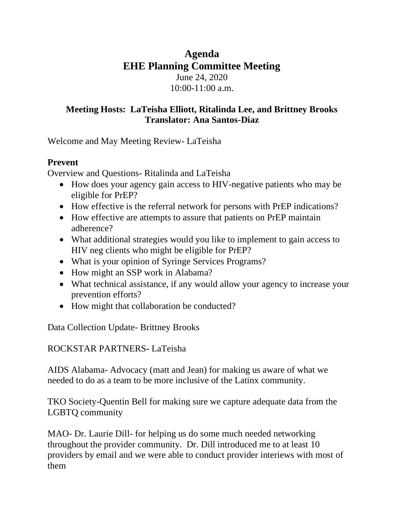## **Agenda EHE Planning Committee Meeting** June 24, 2020 10:00-11:00 a.m.

## **Meeting Hosts: LaTeisha Elliott, Ritalinda Lee, and Brittney Brooks Translator: Ana Santos-Diaz**

Welcome and May Meeting Review- LaTeisha

## **Prevent**

Overview and Questions- Ritalinda and LaTeisha

- How does your agency gain access to HIV-negative patients who may be eligible for PrEP?
- How effective is the referral network for persons with PrEP indications?
- How effective are attempts to assure that patients on PrEP maintain adherence?
- What additional strategies would you like to implement to gain access to HIV neg clients who might be eligible for PrEP?
- What is your opinion of Syringe Services Programs?
- How might an SSP work in Alabama?
- What technical assistance, if any would allow your agency to increase your prevention efforts?
- How might that collaboration be conducted?

Data Collection Update- Brittney Brooks

## ROCKSTAR PARTNERS**-** LaTeisha

AIDS Alabama- Advocacy (matt and Jean) for making us aware of what we needed to do as a team to be more inclusive of the Latinx community.

TKO Society-Quentin Bell for making sure we capture adequate data from the LGBTQ community

MAO- Dr. Laurie Dill- for helping us do some much needed networking throughout the provider community. Dr. Dill introduced me to at least 10 providers by email and we were able to conduct provider interiews with most of them